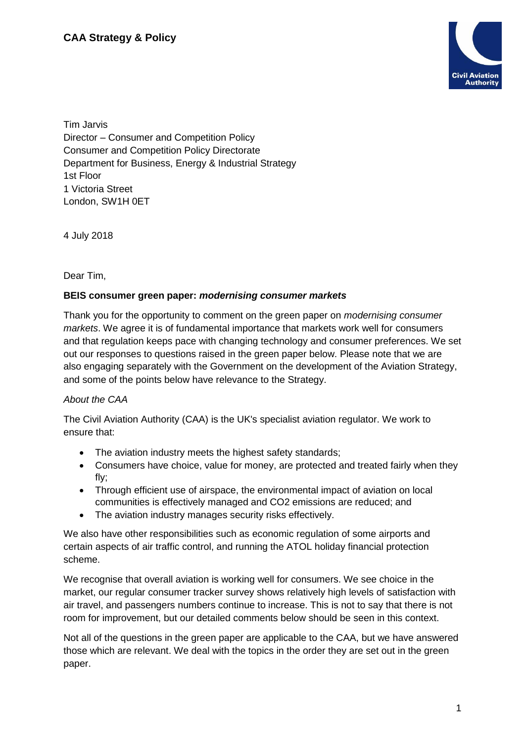

Tim Jarvis Director – Consumer and Competition Policy Consumer and Competition Policy Directorate Department for Business, Energy & Industrial Strategy 1st Floor 1 Victoria Street London, SW1H 0ET

4 July 2018

Dear Tim,

## **BEIS consumer green paper:** *modernising consumer markets*

Thank you for the opportunity to comment on the green paper on *modernising consumer markets*. We agree it is of fundamental importance that markets work well for consumers and that regulation keeps pace with changing technology and consumer preferences. We set out our responses to questions raised in the green paper below. Please note that we are also engaging separately with the Government on the development of the Aviation Strategy, and some of the points below have relevance to the Strategy.

# *About the CAA*

The Civil Aviation Authority (CAA) is the UK's specialist aviation regulator. We work to ensure that:

- The aviation industry meets the highest safety standards:
- Consumers have choice, value for money, are protected and treated fairly when they fly;
- Through efficient use of airspace, the environmental impact of aviation on local communities is effectively managed and CO2 emissions are reduced; and
- The aviation industry manages security risks effectively.

We also have other responsibilities such as economic regulation of some airports and certain aspects of air traffic control, and running the ATOL holiday financial protection scheme.

We recognise that overall aviation is working well for consumers. We see choice in the market, our regular consumer tracker survey shows relatively high levels of satisfaction with air travel, and passengers numbers continue to increase. This is not to say that there is not room for improvement, but our detailed comments below should be seen in this context.

Not all of the questions in the green paper are applicable to the CAA, but we have answered those which are relevant. We deal with the topics in the order they are set out in the green paper.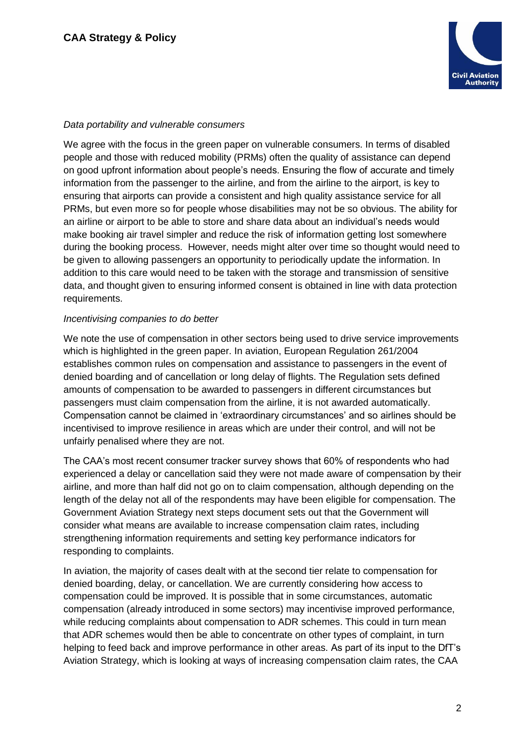

# *Data portability and vulnerable consumers*

We agree with the focus in the green paper on vulnerable consumers. In terms of disabled people and those with reduced mobility (PRMs) often the quality of assistance can depend on good upfront information about people's needs. Ensuring the flow of accurate and timely information from the passenger to the airline, and from the airline to the airport, is key to ensuring that airports can provide a consistent and high quality assistance service for all PRMs, but even more so for people whose disabilities may not be so obvious. The ability for an airline or airport to be able to store and share data about an individual's needs would make booking air travel simpler and reduce the risk of information getting lost somewhere during the booking process. However, needs might alter over time so thought would need to be given to allowing passengers an opportunity to periodically update the information. In addition to this care would need to be taken with the storage and transmission of sensitive data, and thought given to ensuring informed consent is obtained in line with data protection requirements.

#### *Incentivising companies to do better*

We note the use of compensation in other sectors being used to drive service improvements which is highlighted in the green paper. In aviation, European Regulation 261/2004 establishes common rules on compensation and assistance to passengers in the event of denied boarding and of cancellation or long delay of flights. The Regulation sets defined amounts of compensation to be awarded to passengers in different circumstances but passengers must claim compensation from the airline, it is not awarded automatically. Compensation cannot be claimed in 'extraordinary circumstances' and so airlines should be incentivised to improve resilience in areas which are under their control, and will not be unfairly penalised where they are not.

The CAA's most recent consumer tracker survey shows that 60% of respondents who had experienced a delay or cancellation said they were not made aware of compensation by their airline, and more than half did not go on to claim compensation, although depending on the length of the delay not all of the respondents may have been eligible for compensation. The Government Aviation Strategy next steps document sets out that the Government will consider what means are available to increase compensation claim rates, including strengthening information requirements and setting key performance indicators for responding to complaints.

In aviation, the majority of cases dealt with at the second tier relate to compensation for denied boarding, delay, or cancellation. We are currently considering how access to compensation could be improved. It is possible that in some circumstances, automatic compensation (already introduced in some sectors) may incentivise improved performance, while reducing complaints about compensation to ADR schemes. This could in turn mean that ADR schemes would then be able to concentrate on other types of complaint, in turn helping to feed back and improve performance in other areas. As part of its input to the DfT's Aviation Strategy, which is looking at ways of increasing compensation claim rates, the CAA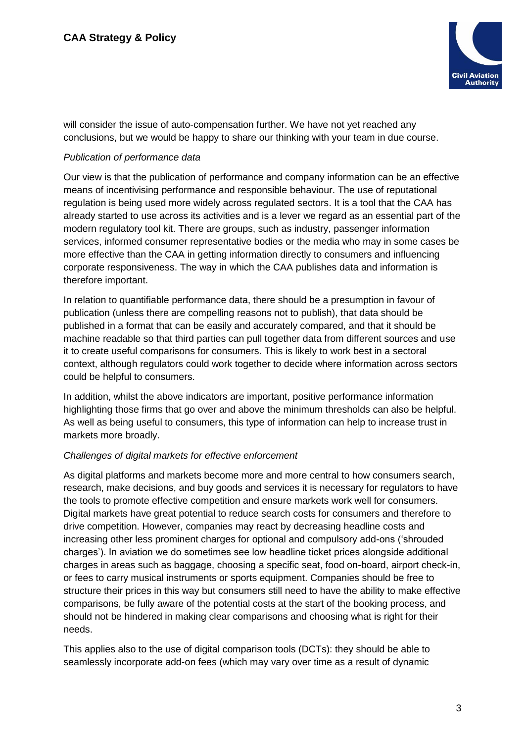

will consider the issue of auto-compensation further. We have not yet reached any conclusions, but we would be happy to share our thinking with your team in due course.

# *Publication of performance data*

Our view is that the publication of performance and company information can be an effective means of incentivising performance and responsible behaviour. The use of reputational regulation is being used more widely across regulated sectors. It is a tool that the CAA has already started to use across its activities and is a lever we regard as an essential part of the modern regulatory tool kit. There are groups, such as industry, passenger information services, informed consumer representative bodies or the media who may in some cases be more effective than the CAA in getting information directly to consumers and influencing corporate responsiveness. The way in which the CAA publishes data and information is therefore important.

In relation to quantifiable performance data, there should be a presumption in favour of publication (unless there are compelling reasons not to publish), that data should be published in a format that can be easily and accurately compared, and that it should be machine readable so that third parties can pull together data from different sources and use it to create useful comparisons for consumers. This is likely to work best in a sectoral context, although regulators could work together to decide where information across sectors could be helpful to consumers.

In addition, whilst the above indicators are important, positive performance information highlighting those firms that go over and above the minimum thresholds can also be helpful. As well as being useful to consumers, this type of information can help to increase trust in markets more broadly.

#### *Challenges of digital markets for effective enforcement*

As digital platforms and markets become more and more central to how consumers search, research, make decisions, and buy goods and services it is necessary for regulators to have the tools to promote effective competition and ensure markets work well for consumers. Digital markets have great potential to reduce search costs for consumers and therefore to drive competition. However, companies may react by decreasing headline costs and increasing other less prominent charges for optional and compulsory add-ons ('shrouded charges'). In aviation we do sometimes see low headline ticket prices alongside additional charges in areas such as baggage, choosing a specific seat, food on-board, airport check-in, or fees to carry musical instruments or sports equipment. Companies should be free to structure their prices in this way but consumers still need to have the ability to make effective comparisons, be fully aware of the potential costs at the start of the booking process, and should not be hindered in making clear comparisons and choosing what is right for their needs.

This applies also to the use of digital comparison tools (DCTs): they should be able to seamlessly incorporate add-on fees (which may vary over time as a result of dynamic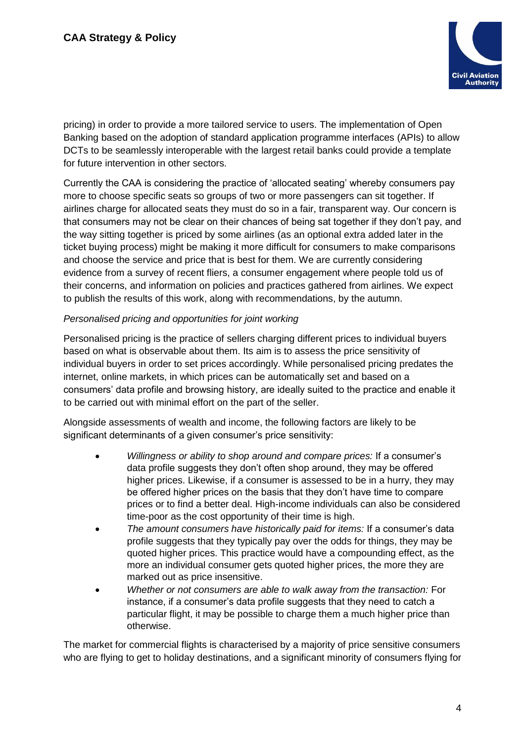

pricing) in order to provide a more tailored service to users. The implementation of Open Banking based on the adoption of standard application programme interfaces (APIs) to allow DCTs to be seamlessly interoperable with the largest retail banks could provide a template for future intervention in other sectors.

Currently the CAA is considering the practice of 'allocated seating' whereby consumers pay more to choose specific seats so groups of two or more passengers can sit together. If airlines charge for allocated seats they must do so in a fair, transparent way. Our concern is that consumers may not be clear on their chances of being sat together if they don't pay, and the way sitting together is priced by some airlines (as an optional extra added later in the ticket buying process) might be making it more difficult for consumers to make comparisons and choose the service and price that is best for them. We are currently considering evidence from a survey of recent fliers, a consumer engagement where people told us of their concerns, and information on policies and practices gathered from airlines. We expect to publish the results of this work, along with recommendations, by the autumn.

## *Personalised pricing and opportunities for joint working*

Personalised pricing is the practice of sellers charging different prices to individual buyers based on what is observable about them. Its aim is to assess the price sensitivity of individual buyers in order to set prices accordingly. While personalised pricing predates the internet, online markets, in which prices can be automatically set and based on a consumers' data profile and browsing history, are ideally suited to the practice and enable it to be carried out with minimal effort on the part of the seller.

Alongside assessments of wealth and income, the following factors are likely to be significant determinants of a given consumer's price sensitivity:

- *Willingness or ability to shop around and compare prices:* If a consumer's data profile suggests they don't often shop around, they may be offered higher prices. Likewise, if a consumer is assessed to be in a hurry, they may be offered higher prices on the basis that they don't have time to compare prices or to find a better deal. High-income individuals can also be considered time-poor as the cost opportunity of their time is high.
- *The amount consumers have historically paid for items:* If a consumer's data profile suggests that they typically pay over the odds for things, they may be quoted higher prices. This practice would have a compounding effect, as the more an individual consumer gets quoted higher prices, the more they are marked out as price insensitive.
- *Whether or not consumers are able to walk away from the transaction:* For instance, if a consumer's data profile suggests that they need to catch a particular flight, it may be possible to charge them a much higher price than otherwise.

The market for commercial flights is characterised by a majority of price sensitive consumers who are flying to get to holiday destinations, and a significant minority of consumers flying for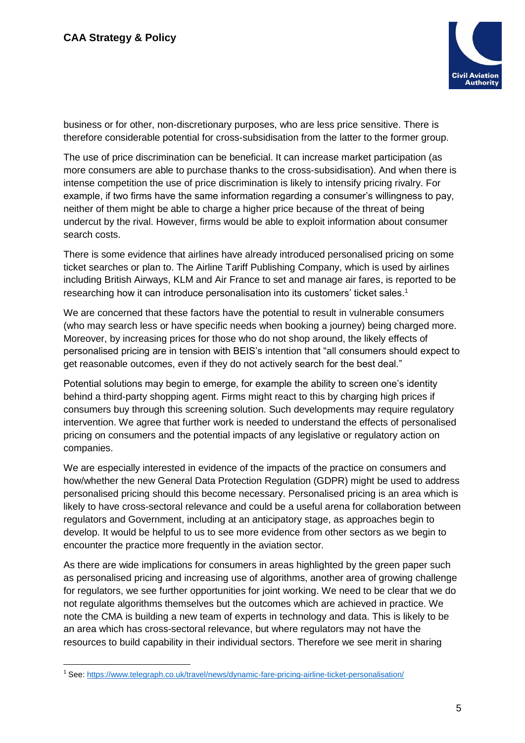

business or for other, non-discretionary purposes, who are less price sensitive. There is therefore considerable potential for cross-subsidisation from the latter to the former group.

The use of price discrimination can be beneficial. It can increase market participation (as more consumers are able to purchase thanks to the cross-subsidisation). And when there is intense competition the use of price discrimination is likely to intensify pricing rivalry. For example, if two firms have the same information regarding a consumer's willingness to pay, neither of them might be able to charge a higher price because of the threat of being undercut by the rival. However, firms would be able to exploit information about consumer search costs.

There is some evidence that airlines have already introduced personalised pricing on some ticket searches or plan to. The Airline Tariff Publishing Company, which is used by airlines including British Airways, KLM and Air France to set and manage air fares, is reported to be researching how it can introduce personalisation into its customers' ticket sales.<sup>1</sup>

We are concerned that these factors have the potential to result in vulnerable consumers (who may search less or have specific needs when booking a journey) being charged more. Moreover, by increasing prices for those who do not shop around, the likely effects of personalised pricing are in tension with BEIS's intention that "all consumers should expect to get reasonable outcomes, even if they do not actively search for the best deal."

Potential solutions may begin to emerge, for example the ability to screen one's identity behind a third-party shopping agent. Firms might react to this by charging high prices if consumers buy through this screening solution. Such developments may require regulatory intervention. We agree that further work is needed to understand the effects of personalised pricing on consumers and the potential impacts of any legislative or regulatory action on companies.

We are especially interested in evidence of the impacts of the practice on consumers and how/whether the new General Data Protection Regulation (GDPR) might be used to address personalised pricing should this become necessary. Personalised pricing is an area which is likely to have cross-sectoral relevance and could be a useful arena for collaboration between regulators and Government, including at an anticipatory stage, as approaches begin to develop. It would be helpful to us to see more evidence from other sectors as we begin to encounter the practice more frequently in the aviation sector.

As there are wide implications for consumers in areas highlighted by the green paper such as personalised pricing and increasing use of algorithms, another area of growing challenge for regulators, we see further opportunities for joint working. We need to be clear that we do not regulate algorithms themselves but the outcomes which are achieved in practice. We note the CMA is building a new team of experts in technology and data. This is likely to be an area which has cross-sectoral relevance, but where regulators may not have the resources to build capability in their individual sectors. Therefore we see merit in sharing

<sup>1</sup> See[: https://www.telegraph.co.uk/travel/news/dynamic-fare-pricing-airline-ticket-personalisation/](https://www.telegraph.co.uk/travel/news/dynamic-fare-pricing-airline-ticket-personalisation/)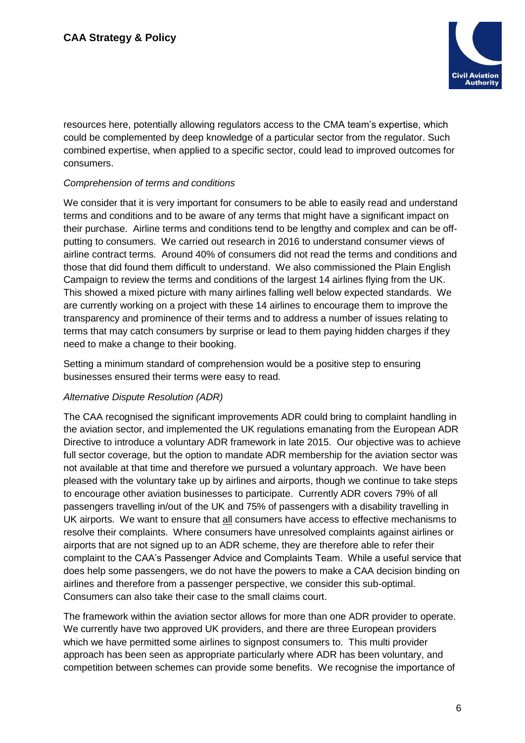

resources here, potentially allowing regulators access to the CMA team's expertise, which could be complemented by deep knowledge of a particular sector from the regulator. Such combined expertise, when applied to a specific sector, could lead to improved outcomes for consumers.

# *Comprehension of terms and conditions*

We consider that it is very important for consumers to be able to easily read and understand terms and conditions and to be aware of any terms that might have a significant impact on their purchase. Airline terms and conditions tend to be lengthy and complex and can be offputting to consumers. We carried out research in 2016 to understand consumer views of airline contract terms. Around 40% of consumers did not read the terms and conditions and those that did found them difficult to understand. We also commissioned the Plain English Campaign to review the terms and conditions of the largest 14 airlines flying from the UK. This showed a mixed picture with many airlines falling well below expected standards. We are currently working on a project with these 14 airlines to encourage them to improve the transparency and prominence of their terms and to address a number of issues relating to terms that may catch consumers by surprise or lead to them paying hidden charges if they need to make a change to their booking.

Setting a minimum standard of comprehension would be a positive step to ensuring businesses ensured their terms were easy to read.

#### *Alternative Dispute Resolution (ADR)*

The CAA recognised the significant improvements ADR could bring to complaint handling in the aviation sector, and implemented the UK regulations emanating from the European ADR Directive to introduce a voluntary ADR framework in late 2015. Our objective was to achieve full sector coverage, but the option to mandate ADR membership for the aviation sector was not available at that time and therefore we pursued a voluntary approach. We have been pleased with the voluntary take up by airlines and airports, though we continue to take steps to encourage other aviation businesses to participate. Currently ADR covers 79% of all passengers travelling in/out of the UK and 75% of passengers with a disability travelling in UK airports. We want to ensure that all consumers have access to effective mechanisms to resolve their complaints. Where consumers have unresolved complaints against airlines or airports that are not signed up to an ADR scheme, they are therefore able to refer their complaint to the CAA's Passenger Advice and Complaints Team. While a useful service that does help some passengers, we do not have the powers to make a CAA decision binding on airlines and therefore from a passenger perspective, we consider this sub-optimal. Consumers can also take their case to the small claims court.

The framework within the aviation sector allows for more than one ADR provider to operate. We currently have two approved UK providers, and there are three European providers which we have permitted some airlines to signpost consumers to. This multi provider approach has been seen as appropriate particularly where ADR has been voluntary, and competition between schemes can provide some benefits. We recognise the importance of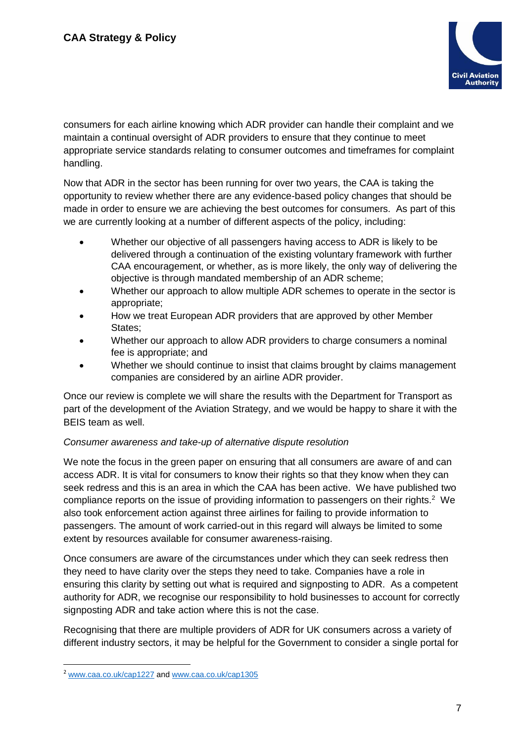

consumers for each airline knowing which ADR provider can handle their complaint and we maintain a continual oversight of ADR providers to ensure that they continue to meet appropriate service standards relating to consumer outcomes and timeframes for complaint handling.

Now that ADR in the sector has been running for over two years, the CAA is taking the opportunity to review whether there are any evidence-based policy changes that should be made in order to ensure we are achieving the best outcomes for consumers. As part of this we are currently looking at a number of different aspects of the policy, including:

- Whether our objective of all passengers having access to ADR is likely to be delivered through a continuation of the existing voluntary framework with further CAA encouragement, or whether, as is more likely, the only way of delivering the objective is through mandated membership of an ADR scheme;
- Whether our approach to allow multiple ADR schemes to operate in the sector is appropriate;
- How we treat European ADR providers that are approved by other Member States;
- Whether our approach to allow ADR providers to charge consumers a nominal fee is appropriate; and
- Whether we should continue to insist that claims brought by claims management companies are considered by an airline ADR provider.

Once our review is complete we will share the results with the Department for Transport as part of the development of the Aviation Strategy, and we would be happy to share it with the BEIS team as well.

# *Consumer awareness and take-up of alternative dispute resolution*

We note the focus in the green paper on ensuring that all consumers are aware of and can access ADR. It is vital for consumers to know their rights so that they know when they can seek redress and this is an area in which the CAA has been active. We have published two compliance reports on the issue of providing information to passengers on their rights.<sup>2</sup> We also took enforcement action against three airlines for failing to provide information to passengers. The amount of work carried-out in this regard will always be limited to some extent by resources available for consumer awareness-raising.

Once consumers are aware of the circumstances under which they can seek redress then they need to have clarity over the steps they need to take. Companies have a role in ensuring this clarity by setting out what is required and signposting to ADR. As a competent authority for ADR, we recognise our responsibility to hold businesses to account for correctly signposting ADR and take action where this is not the case.

Recognising that there are multiple providers of ADR for UK consumers across a variety of different industry sectors, it may be helpful for the Government to consider a single portal for

<sup>2</sup> [www.caa.co.uk/cap1227](http://www.caa.co.uk/cap1227) and [www.caa.co.uk/cap1305](http://www.caa.co.uk/cap1305)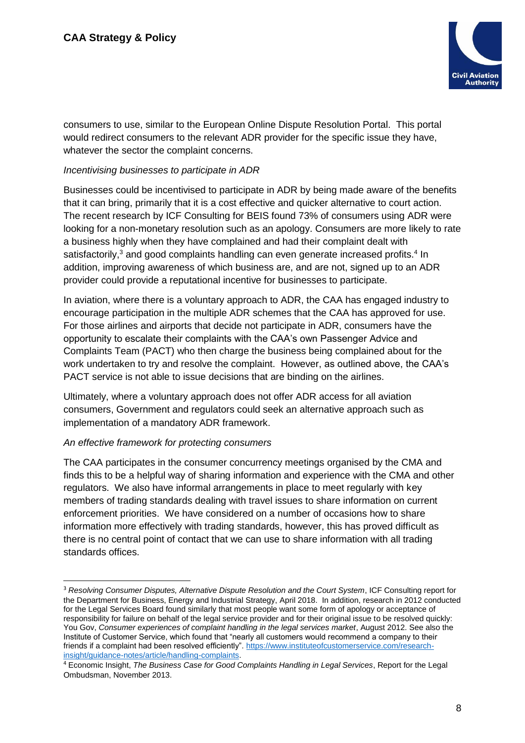

consumers to use, similar to the European Online Dispute Resolution Portal. This portal would redirect consumers to the relevant ADR provider for the specific issue they have, whatever the sector the complaint concerns.

# *Incentivising businesses to participate in ADR*

Businesses could be incentivised to participate in ADR by being made aware of the benefits that it can bring, primarily that it is a cost effective and quicker alternative to court action. The recent research by ICF Consulting for BEIS found 73% of consumers using ADR were looking for a non-monetary resolution such as an apology. Consumers are more likely to rate a business highly when they have complained and had their complaint dealt with satisfactorily, $3$  and good complaints handling can even generate increased profits. $4$  In addition, improving awareness of which business are, and are not, signed up to an ADR provider could provide a reputational incentive for businesses to participate.

In aviation, where there is a voluntary approach to ADR, the CAA has engaged industry to encourage participation in the multiple ADR schemes that the CAA has approved for use. For those airlines and airports that decide not participate in ADR, consumers have the opportunity to escalate their complaints with the CAA's own Passenger Advice and Complaints Team (PACT) who then charge the business being complained about for the work undertaken to try and resolve the complaint. However, as outlined above, the CAA's PACT service is not able to issue decisions that are binding on the airlines.

Ultimately, where a voluntary approach does not offer ADR access for all aviation consumers, Government and regulators could seek an alternative approach such as implementation of a mandatory ADR framework.

#### *An effective framework for protecting consumers*

-

The CAA participates in the consumer concurrency meetings organised by the CMA and finds this to be a helpful way of sharing information and experience with the CMA and other regulators. We also have informal arrangements in place to meet regularly with key members of trading standards dealing with travel issues to share information on current enforcement priorities. We have considered on a number of occasions how to share information more effectively with trading standards, however, this has proved difficult as there is no central point of contact that we can use to share information with all trading standards offices.

<sup>3</sup> *Resolving Consumer Disputes, Alternative Dispute Resolution and the Court System*, ICF Consulting report for the Department for Business, Energy and Industrial Strategy, April 2018. In addition, research in 2012 conducted for the Legal Services Board found similarly that most people want some form of apology or acceptance of responsibility for failure on behalf of the legal service provider and for their original issue to be resolved quickly: You Gov, *Consumer experiences of complaint handling in the legal services market*, August 2012. See also the Institute of Customer Service, which found that "nearly all customers would recommend a company to their friends if a complaint had been resolved efficiently". [https://www.instituteofcustomerservice.com/research](https://www.instituteofcustomerservice.com/research-insight/guidance-notes/article/handling-complaints)[insight/guidance-notes/article/handling-complaints.](https://www.instituteofcustomerservice.com/research-insight/guidance-notes/article/handling-complaints)

<sup>4</sup> Economic Insight, *The Business Case for Good Complaints Handling in Legal Services*, Report for the Legal Ombudsman, November 2013.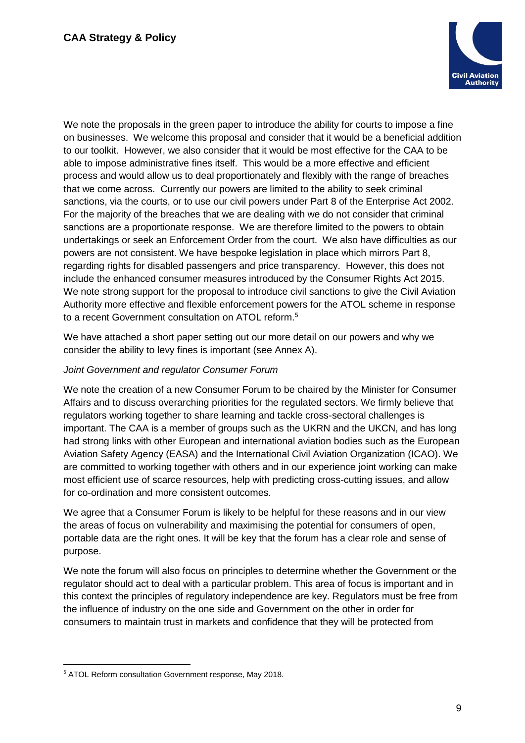

We note the proposals in the green paper to introduce the ability for courts to impose a fine on businesses. We welcome this proposal and consider that it would be a beneficial addition to our toolkit. However, we also consider that it would be most effective for the CAA to be able to impose administrative fines itself. This would be a more effective and efficient process and would allow us to deal proportionately and flexibly with the range of breaches that we come across. Currently our powers are limited to the ability to seek criminal sanctions, via the courts, or to use our civil powers under Part 8 of the Enterprise Act 2002. For the majority of the breaches that we are dealing with we do not consider that criminal sanctions are a proportionate response. We are therefore limited to the powers to obtain undertakings or seek an Enforcement Order from the court. We also have difficulties as our powers are not consistent. We have bespoke legislation in place which mirrors Part 8, regarding rights for disabled passengers and price transparency. However, this does not include the enhanced consumer measures introduced by the Consumer Rights Act 2015. We note strong support for the proposal to introduce civil sanctions to give the Civil Aviation Authority more effective and flexible enforcement powers for the ATOL scheme in response to a recent Government consultation on ATOL reform.<sup>5</sup>

We have attached a short paper setting out our more detail on our powers and why we consider the ability to levy fines is important (see Annex A).

# *Joint Government and regulator Consumer Forum*

We note the creation of a new Consumer Forum to be chaired by the Minister for Consumer Affairs and to discuss overarching priorities for the regulated sectors. We firmly believe that regulators working together to share learning and tackle cross-sectoral challenges is important. The CAA is a member of groups such as the UKRN and the UKCN, and has long had strong links with other European and international aviation bodies such as the European Aviation Safety Agency (EASA) and the International Civil Aviation Organization (ICAO). We are committed to working together with others and in our experience joint working can make most efficient use of scarce resources, help with predicting cross-cutting issues, and allow for co-ordination and more consistent outcomes.

We agree that a Consumer Forum is likely to be helpful for these reasons and in our view the areas of focus on vulnerability and maximising the potential for consumers of open, portable data are the right ones. It will be key that the forum has a clear role and sense of purpose.

We note the forum will also focus on principles to determine whether the Government or the regulator should act to deal with a particular problem. This area of focus is important and in this context the principles of regulatory independence are key. Regulators must be free from the influence of industry on the one side and Government on the other in order for consumers to maintain trust in markets and confidence that they will be protected from

<sup>5</sup> ATOL Reform consultation Government response, May 2018.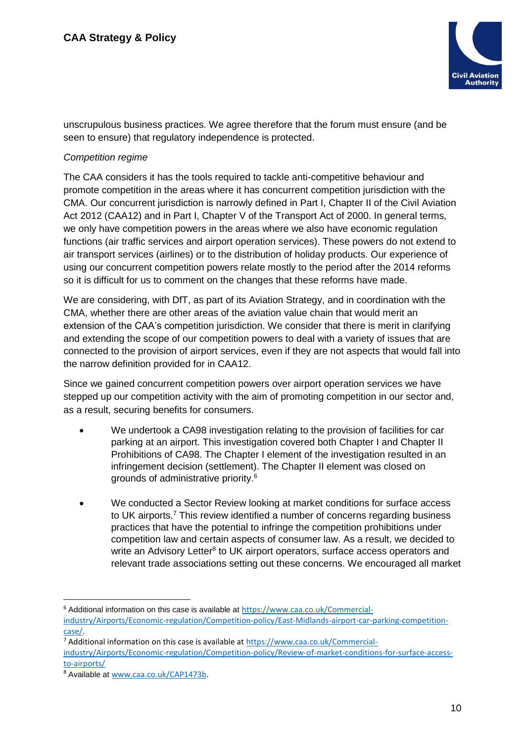

unscrupulous business practices. We agree therefore that the forum must ensure (and be seen to ensure) that regulatory independence is protected.

# *Competition regime*

The CAA considers it has the tools required to tackle anti-competitive behaviour and promote competition in the areas where it has concurrent competition jurisdiction with the CMA. Our concurrent jurisdiction is narrowly defined in Part I, Chapter II of the Civil Aviation Act 2012 (CAA12) and in Part I, Chapter V of the Transport Act of 2000. In general terms, we only have competition powers in the areas where we also have economic regulation functions (air traffic services and airport operation services). These powers do not extend to air transport services (airlines) or to the distribution of holiday products. Our experience of using our concurrent competition powers relate mostly to the period after the 2014 reforms so it is difficult for us to comment on the changes that these reforms have made.

We are considering, with DfT, as part of its Aviation Strategy, and in coordination with the CMA, whether there are other areas of the aviation value chain that would merit an extension of the CAA's competition jurisdiction. We consider that there is merit in clarifying and extending the scope of our competition powers to deal with a variety of issues that are connected to the provision of airport services, even if they are not aspects that would fall into the narrow definition provided for in CAA12.

Since we gained concurrent competition powers over airport operation services we have stepped up our competition activity with the aim of promoting competition in our sector and, as a result, securing benefits for consumers.

- We undertook a CA98 investigation relating to the provision of facilities for car parking at an airport. This investigation covered both Chapter I and Chapter II Prohibitions of CA98. The Chapter I element of the investigation resulted in an infringement decision (settlement). The Chapter II element was closed on grounds of administrative priority.<sup>6</sup>
- We conducted a Sector Review looking at market conditions for surface access to UK airports.<sup>7</sup> This review identified a number of concerns regarding business practices that have the potential to infringe the competition prohibitions under competition law and certain aspects of consumer law. As a result, we decided to write an Advisory Letter<sup>8</sup> to UK airport operators, surface access operators and relevant trade associations setting out these concerns. We encouraged all market

<sup>&</sup>lt;sup>6</sup> Additional information on this case is available at [https://www.caa.co.uk/Commercial](https://www.caa.co.uk/Commercial-industry/Airports/Economic-regulation/Competition-policy/East-Midlands-airport-car-parking-competition-case/)[industry/Airports/Economic-regulation/Competition-policy/East-Midlands-airport-car-parking-competition](https://www.caa.co.uk/Commercial-industry/Airports/Economic-regulation/Competition-policy/East-Midlands-airport-car-parking-competition-case/)[case/.](https://www.caa.co.uk/Commercial-industry/Airports/Economic-regulation/Competition-policy/East-Midlands-airport-car-parking-competition-case/)

<sup>&</sup>lt;sup>7</sup> Additional information on this case is available at [https://www.caa.co.uk/Commercial-](https://www.caa.co.uk/Commercial-industry/Airports/Economic-regulation/Competition-policy/Review-of-market-conditions-for-surface-access-to-airports/)

[industry/Airports/Economic-regulation/Competition-policy/Review-of-market-conditions-for-surface-access](https://www.caa.co.uk/Commercial-industry/Airports/Economic-regulation/Competition-policy/Review-of-market-conditions-for-surface-access-to-airports/)[to-airports/](https://www.caa.co.uk/Commercial-industry/Airports/Economic-regulation/Competition-policy/Review-of-market-conditions-for-surface-access-to-airports/)

<sup>8</sup> Available at [www.caa.co.uk/CAP1473b.](http://www.caa.co.uk/CAP1473b)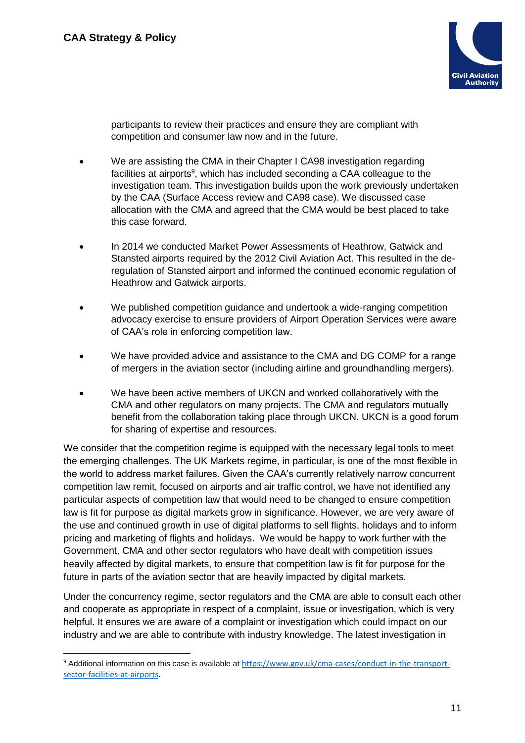-



participants to review their practices and ensure they are compliant with competition and consumer law now and in the future.

- We are assisting the CMA in their Chapter I CA98 investigation regarding facilities at airports<sup>9</sup>, which has included seconding a CAA colleague to the investigation team. This investigation builds upon the work previously undertaken by the CAA (Surface Access review and CA98 case). We discussed case allocation with the CMA and agreed that the CMA would be best placed to take this case forward.
- In 2014 we conducted Market Power Assessments of Heathrow, Gatwick and Stansted airports required by the 2012 Civil Aviation Act. This resulted in the deregulation of Stansted airport and informed the continued economic regulation of Heathrow and Gatwick airports.
- We published competition guidance and undertook a wide-ranging competition advocacy exercise to ensure providers of Airport Operation Services were aware of CAA's role in enforcing competition law.
- We have provided advice and assistance to the CMA and DG COMP for a range of mergers in the aviation sector (including airline and groundhandling mergers).
- We have been active members of UKCN and worked collaboratively with the CMA and other regulators on many projects. The CMA and regulators mutually benefit from the collaboration taking place through UKCN. UKCN is a good forum for sharing of expertise and resources.

We consider that the competition regime is equipped with the necessary legal tools to meet the emerging challenges. The UK Markets regime, in particular, is one of the most flexible in the world to address market failures. Given the CAA's currently relatively narrow concurrent competition law remit, focused on airports and air traffic control, we have not identified any particular aspects of competition law that would need to be changed to ensure competition law is fit for purpose as digital markets grow in significance. However, we are very aware of the use and continued growth in use of digital platforms to sell flights, holidays and to inform pricing and marketing of flights and holidays. We would be happy to work further with the Government, CMA and other sector regulators who have dealt with competition issues heavily affected by digital markets, to ensure that competition law is fit for purpose for the future in parts of the aviation sector that are heavily impacted by digital markets.

Under the concurrency regime, sector regulators and the CMA are able to consult each other and cooperate as appropriate in respect of a complaint, issue or investigation, which is very helpful. It ensures we are aware of a complaint or investigation which could impact on our industry and we are able to contribute with industry knowledge. The latest investigation in

<sup>9</sup> Additional information on this case is available at [https://www.gov.uk/cma-cases/conduct-in-the-transport](https://www.gov.uk/cma-cases/conduct-in-the-transport-sector-facilities-at-airports)[sector-facilities-at-airports.](https://www.gov.uk/cma-cases/conduct-in-the-transport-sector-facilities-at-airports)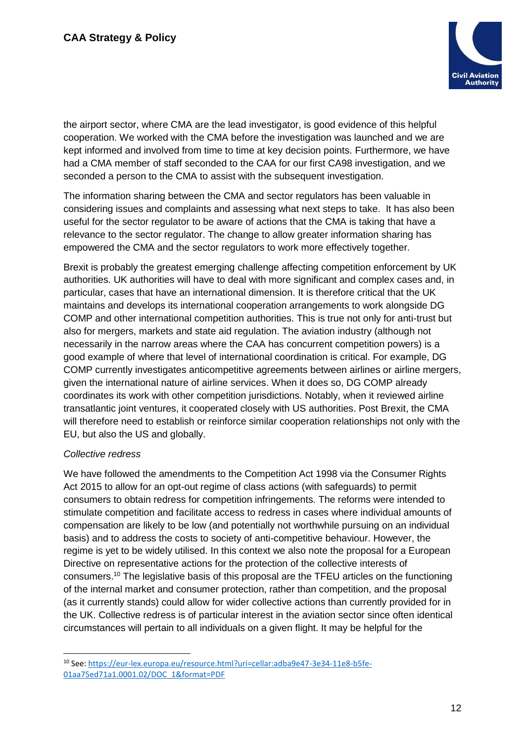

the airport sector, where CMA are the lead investigator, is good evidence of this helpful cooperation. We worked with the CMA before the investigation was launched and we are kept informed and involved from time to time at key decision points. Furthermore, we have had a CMA member of staff seconded to the CAA for our first CA98 investigation, and we seconded a person to the CMA to assist with the subsequent investigation.

The information sharing between the CMA and sector regulators has been valuable in considering issues and complaints and assessing what next steps to take. It has also been useful for the sector regulator to be aware of actions that the CMA is taking that have a relevance to the sector regulator. The change to allow greater information sharing has empowered the CMA and the sector regulators to work more effectively together.

Brexit is probably the greatest emerging challenge affecting competition enforcement by UK authorities. UK authorities will have to deal with more significant and complex cases and, in particular, cases that have an international dimension. It is therefore critical that the UK maintains and develops its international cooperation arrangements to work alongside DG COMP and other international competition authorities. This is true not only for anti-trust but also for mergers, markets and state aid regulation. The aviation industry (although not necessarily in the narrow areas where the CAA has concurrent competition powers) is a good example of where that level of international coordination is critical. For example, DG COMP currently investigates anticompetitive agreements between airlines or airline mergers, given the international nature of airline services. When it does so, DG COMP already coordinates its work with other competition jurisdictions. Notably, when it reviewed airline transatlantic joint ventures, it cooperated closely with US authorities. Post Brexit, the CMA will therefore need to establish or reinforce similar cooperation relationships not only with the EU, but also the US and globally.

#### *Collective redress*

We have followed the amendments to the Competition Act 1998 via the Consumer Rights Act 2015 to allow for an opt-out regime of class actions (with safeguards) to permit consumers to obtain redress for competition infringements. The reforms were intended to stimulate competition and facilitate access to redress in cases where individual amounts of compensation are likely to be low (and potentially not worthwhile pursuing on an individual basis) and to address the costs to society of anti-competitive behaviour. However, the regime is yet to be widely utilised. In this context we also note the proposal for a European Directive on representative actions for the protection of the collective interests of consumers.<sup>10</sup> The legislative basis of this proposal are the TFEU articles on the functioning of the internal market and consumer protection, rather than competition, and the proposal (as it currently stands) could allow for wider collective actions than currently provided for in the UK. Collective redress is of particular interest in the aviation sector since often identical circumstances will pertain to all individuals on a given flight. It may be helpful for the

<sup>-</sup><sup>10</sup> See: [https://eur-lex.europa.eu/resource.html?uri=cellar:adba9e47-3e34-11e8-b5fe-](https://eur-lex.europa.eu/resource.html?uri=cellar:adba9e47-3e34-11e8-b5fe-01aa75ed71a1.0001.02/DOC_1&format=PDF)[01aa75ed71a1.0001.02/DOC\\_1&format=PDF](https://eur-lex.europa.eu/resource.html?uri=cellar:adba9e47-3e34-11e8-b5fe-01aa75ed71a1.0001.02/DOC_1&format=PDF)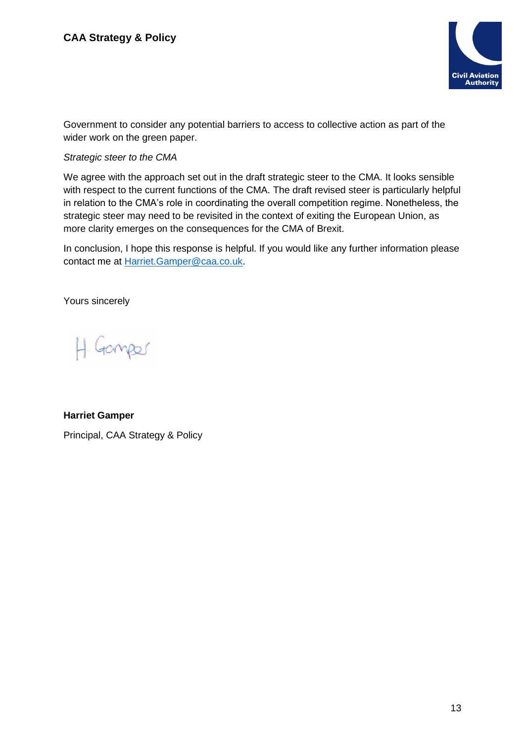

Government to consider any potential barriers to access to collective action as part of the wider work on the green paper.

# *Strategic steer to the CMA*

We agree with the approach set out in the draft strategic steer to the CMA. It looks sensible with respect to the current functions of the CMA. The draft revised steer is particularly helpful in relation to the CMA's role in coordinating the overall competition regime. Nonetheless, the strategic steer may need to be revisited in the context of exiting the European Union, as more clarity emerges on the consequences for the CMA of Brexit.

In conclusion, I hope this response is helpful. If you would like any further information please contact me at [Harriet.Gamper@caa.co.uk.](mailto:Harriet.Gamper@caa.co.uk)

Yours sincerely

H Gamper

# **Harriet Gamper**

Principal, CAA Strategy & Policy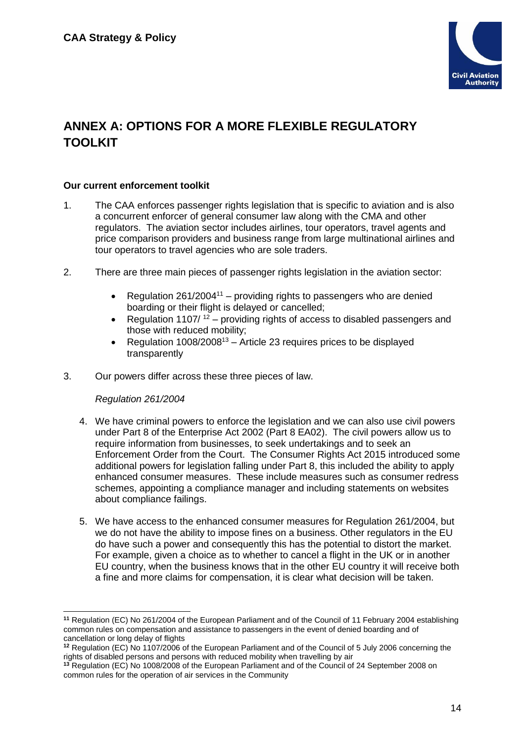

# **ANNEX A: OPTIONS FOR A MORE FLEXIBLE REGULATORY TOOLKIT**

#### **Our current enforcement toolkit**

- 1. The CAA enforces passenger rights legislation that is specific to aviation and is also a concurrent enforcer of general consumer law along with the CMA and other regulators. The aviation sector includes airlines, tour operators, travel agents and price comparison providers and business range from large multinational airlines and tour operators to travel agencies who are sole traders.
- 2. There are three main pieces of passenger rights legislation in the aviation sector:
	- Regulation  $261/2004^{11}$  providing rights to passengers who are denied boarding or their flight is delayed or cancelled;
	- Regulation 1107/ $12$  providing rights of access to disabled passengers and those with reduced mobility;
	- Regulation  $1008/2008^{13}$  Article 23 requires prices to be displayed transparently
- 3. Our powers differ across these three pieces of law.

#### *Regulation 261/2004*

- 4. We have criminal powers to enforce the legislation and we can also use civil powers under Part 8 of the Enterprise Act 2002 (Part 8 EA02). The civil powers allow us to require information from businesses, to seek undertakings and to seek an Enforcement Order from the Court. The Consumer Rights Act 2015 introduced some additional powers for legislation falling under Part 8, this included the ability to apply enhanced consumer measures. These include measures such as consumer redress schemes, appointing a compliance manager and including statements on websites about compliance failings.
- 5. We have access to the enhanced consumer measures for Regulation 261/2004, but we do not have the ability to impose fines on a business. Other regulators in the EU do have such a power and consequently this has the potential to distort the market. For example, given a choice as to whether to cancel a flight in the UK or in another EU country, when the business knows that in the other EU country it will receive both a fine and more claims for compensation, it is clear what decision will be taken.

**<sup>11</sup>** Regulation (EC) No 261/2004 of the European Parliament and of the Council of 11 February 2004 establishing common rules on compensation and assistance to passengers in the event of denied boarding and of cancellation or long delay of flights

**<sup>12</sup>** Regulation (EC) No 1107/2006 of the European Parliament and of the Council of 5 July 2006 concerning the rights of disabled persons and persons with reduced mobility when travelling by air

**<sup>13</sup>** Regulation (EC) No 1008/2008 of the European Parliament and of the Council of 24 September 2008 on common rules for the operation of air services in the Community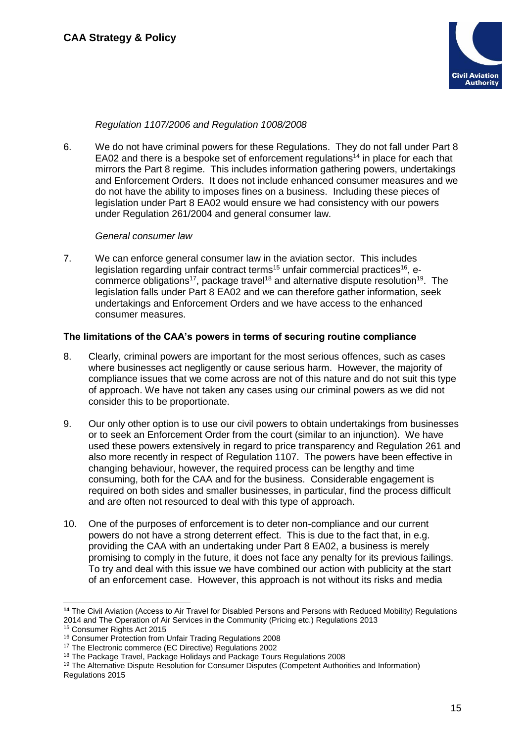

## *Regulation 1107/2006 and Regulation 1008/2008*

6. We do not have criminal powers for these Regulations. They do not fall under Part 8 EA02 and there is a bespoke set of enforcement regulations<sup>14</sup> in place for each that mirrors the Part 8 regime. This includes information gathering powers, undertakings and Enforcement Orders. It does not include enhanced consumer measures and we do not have the ability to imposes fines on a business. Including these pieces of legislation under Part 8 EA02 would ensure we had consistency with our powers under Regulation 261/2004 and general consumer law.

#### *General consumer law*

7. We can enforce general consumer law in the aviation sector. This includes legislation regarding unfair contract terms<sup>15</sup> unfair commercial practices<sup>16</sup>, ecommerce obligations<sup>17</sup>, package travel<sup>18</sup> and alternative dispute resolution<sup>19</sup>. The legislation falls under Part 8 EA02 and we can therefore gather information, seek undertakings and Enforcement Orders and we have access to the enhanced consumer measures.

#### **The limitations of the CAA's powers in terms of securing routine compliance**

- 8. Clearly, criminal powers are important for the most serious offences, such as cases where businesses act negligently or cause serious harm. However, the majority of compliance issues that we come across are not of this nature and do not suit this type of approach. We have not taken any cases using our criminal powers as we did not consider this to be proportionate.
- 9. Our only other option is to use our civil powers to obtain undertakings from businesses or to seek an Enforcement Order from the court (similar to an injunction). We have used these powers extensively in regard to price transparency and Regulation 261 and also more recently in respect of Regulation 1107. The powers have been effective in changing behaviour, however, the required process can be lengthy and time consuming, both for the CAA and for the business. Considerable engagement is required on both sides and smaller businesses, in particular, find the process difficult and are often not resourced to deal with this type of approach.
- 10. One of the purposes of enforcement is to deter non-compliance and our current powers do not have a strong deterrent effect. This is due to the fact that, in e.g. providing the CAA with an undertaking under Part 8 EA02, a business is merely promising to comply in the future, it does not face any penalty for its previous failings. To try and deal with this issue we have combined our action with publicity at the start of an enforcement case. However, this approach is not without its risks and media

**<sup>14</sup>** The Civil Aviation (Access to Air Travel for Disabled Persons and Persons with Reduced Mobility) Regulations 2014 and The Operation of Air Services in the Community (Pricing etc.) Regulations 2013

<sup>15</sup> Consumer Rights Act 2015

<sup>16</sup> Consumer Protection from Unfair Trading Regulations 2008

<sup>&</sup>lt;sup>17</sup> The Electronic commerce (EC Directive) Regulations 2002

<sup>18</sup> The Package Travel, Package Holidays and Package Tours Regulations 2008

<sup>19</sup> The Alternative Dispute Resolution for Consumer Disputes (Competent Authorities and Information) Regulations 2015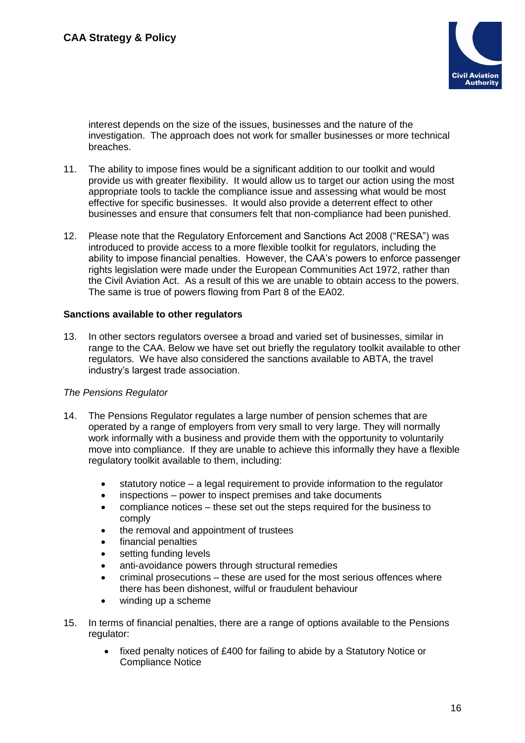

interest depends on the size of the issues, businesses and the nature of the investigation. The approach does not work for smaller businesses or more technical breaches.

- 11. The ability to impose fines would be a significant addition to our toolkit and would provide us with greater flexibility. It would allow us to target our action using the most appropriate tools to tackle the compliance issue and assessing what would be most effective for specific businesses. It would also provide a deterrent effect to other businesses and ensure that consumers felt that non-compliance had been punished.
- 12. Please note that the Regulatory Enforcement and Sanctions Act 2008 ("RESA") was introduced to provide access to a more flexible toolkit for regulators, including the ability to impose financial penalties. However, the CAA's powers to enforce passenger rights legislation were made under the European Communities Act 1972, rather than the Civil Aviation Act. As a result of this we are unable to obtain access to the powers. The same is true of powers flowing from Part 8 of the EA02.

#### **Sanctions available to other regulators**

13. In other sectors regulators oversee a broad and varied set of businesses, similar in range to the CAA. Below we have set out briefly the regulatory toolkit available to other regulators. We have also considered the sanctions available to ABTA, the travel industry's largest trade association.

#### *The Pensions Regulator*

- 14. The Pensions Regulator regulates a large number of pension schemes that are operated by a range of employers from very small to very large. They will normally work informally with a business and provide them with the opportunity to voluntarily move into compliance. If they are unable to achieve this informally they have a flexible regulatory toolkit available to them, including:
	- statutory notice a legal requirement to provide information to the regulator
	- inspections power to inspect premises and take documents
	- compliance notices these set out the steps required for the business to comply
	- the removal and appointment of trustees
	- financial penalties
	- setting funding levels
	- anti-avoidance powers through structural remedies
	- criminal prosecutions these are used for the most serious offences where there has been dishonest, wilful or fraudulent behaviour
	- winding up a scheme
- 15. In terms of financial penalties, there are a range of options available to the Pensions regulator:
	- fixed penalty notices of £400 for failing to abide by a Statutory Notice or Compliance Notice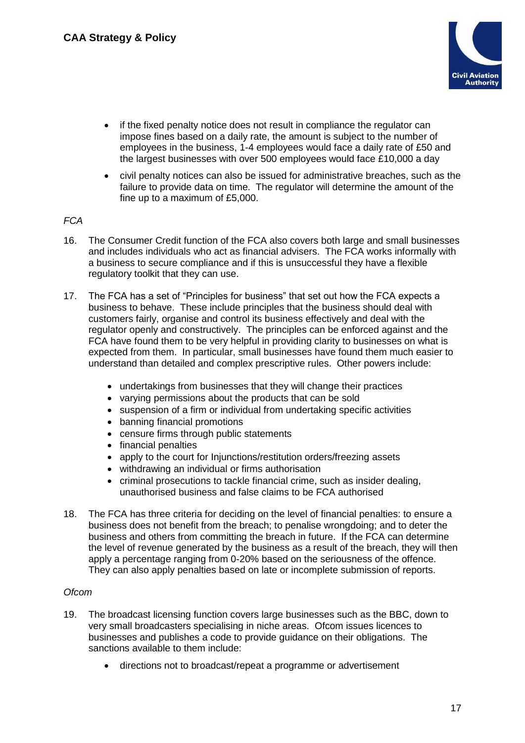

- if the fixed penalty notice does not result in compliance the regulator can impose fines based on a daily rate, the amount is subject to the number of employees in the business, 1-4 employees would face a daily rate of £50 and the largest businesses with over 500 employees would face £10,000 a day
- civil penalty notices can also be issued for administrative breaches, such as the failure to provide data on time. The regulator will determine the amount of the fine up to a maximum of £5,000.

# *FCA*

- 16. The Consumer Credit function of the FCA also covers both large and small businesses and includes individuals who act as financial advisers. The FCA works informally with a business to secure compliance and if this is unsuccessful they have a flexible regulatory toolkit that they can use.
- 17. The FCA has a set of "Principles for business" that set out how the FCA expects a business to behave. These include principles that the business should deal with customers fairly, organise and control its business effectively and deal with the regulator openly and constructively. The principles can be enforced against and the FCA have found them to be very helpful in providing clarity to businesses on what is expected from them. In particular, small businesses have found them much easier to understand than detailed and complex prescriptive rules. Other powers include:
	- undertakings from businesses that they will change their practices
	- varying permissions about the products that can be sold
	- suspension of a firm or individual from undertaking specific activities
	- banning financial promotions
	- censure firms through public statements
	- financial penalties
	- apply to the court for Injunctions/restitution orders/freezing assets
	- withdrawing an individual or firms authorisation
	- criminal prosecutions to tackle financial crime, such as insider dealing, unauthorised business and false claims to be FCA authorised
- 18. The FCA has three criteria for deciding on the level of financial penalties: to ensure a business does not benefit from the breach; to penalise wrongdoing; and to deter the business and others from committing the breach in future. If the FCA can determine the level of revenue generated by the business as a result of the breach, they will then apply a percentage ranging from 0-20% based on the seriousness of the offence. They can also apply penalties based on late or incomplete submission of reports.

#### *Ofcom*

- 19. The broadcast licensing function covers large businesses such as the BBC, down to very small broadcasters specialising in niche areas. Ofcom issues licences to businesses and publishes a code to provide guidance on their obligations. The sanctions available to them include:
	- directions not to broadcast/repeat a programme or advertisement